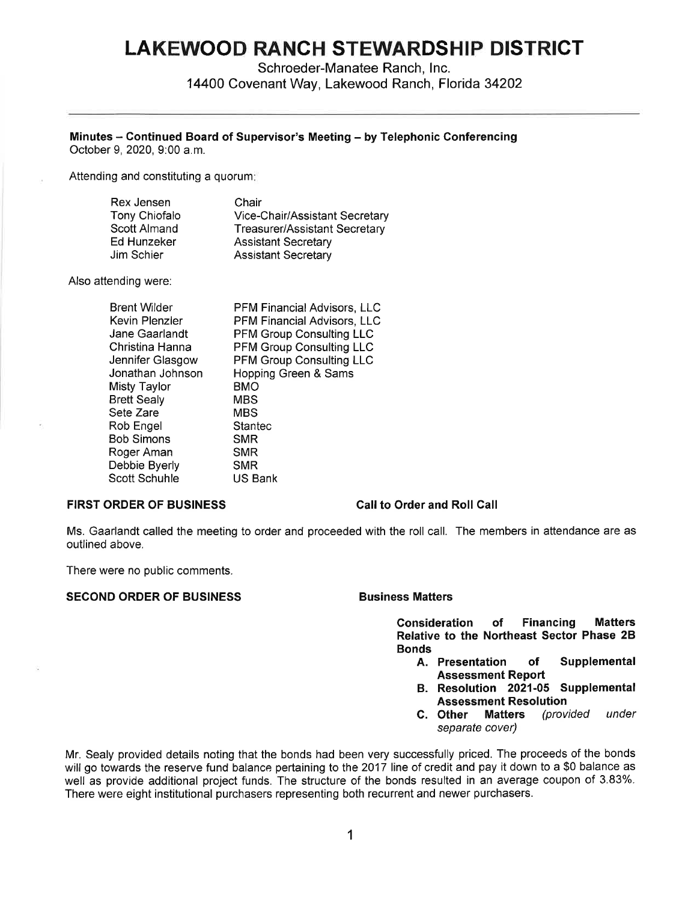# **LAKEWOOD RANCH STEWARDSHIP DISTRICT**

Schroeder-Manatee Ranch, Inc. 14400 Covenant Way, Lakewood Ranch, Florida 34202

# **Minutes** - **Continued Board of Supervisor's Meeting** - **by Telephonic Conferencing**

October 9, 2020, 9:00 a.m.

Attending and constituting a quorum:

| Rex Jensen    | Chair                                |
|---------------|--------------------------------------|
| Tony Chiofalo | Vice-Chair/Assistant Secretary       |
| Scott Almand  | <b>Treasurer/Assistant Secretary</b> |
| Ed Hunzeker   | <b>Assistant Secretary</b>           |
| Jim Schier    | <b>Assistant Secretary</b>           |

Also attending were:

| <b>Brent Wilder</b> | <b>PFM Financial Advisors, LLC</b> |
|---------------------|------------------------------------|
| Kevin Plenzler      | PFM Financial Advisors, LLC        |
| Jane Gaarlandt      | <b>PFM Group Consulting LLC</b>    |
| Christina Hanna     | <b>PFM Group Consulting LLC</b>    |
| Jennifer Glasgow    | PFM Group Consulting LLC           |
| Jonathan Johnson    | Hopping Green & Sams               |
| Misty Taylor        | <b>BMO</b>                         |
| <b>Brett Sealy</b>  | <b>MBS</b>                         |
| Sete Zare           | <b>MBS</b>                         |
| Rob Engel           | Stantec                            |
| Bob Simons          | <b>SMR</b>                         |
| Roger Aman          | <b>SMR</b>                         |
| Debbie Byerly       | <b>SMR</b>                         |
| Scott Schuhle       | <b>US Bank</b>                     |

### **FIRST ORDER OF BUSINESS Call to Order and Roll Call**

Ms. Gaarlandt called the meeting to order and proceeded with the roll call. The members in attendance are as outlined above.

There were no public comments.

# **SECOND ORDER OF BUSINESS BUSINESS Business Matters**

**Consideration of Financing Matters Relative to the Northeast Sector Phase 28 Bonds** 

- **A. Presentation of Supplemental Assessment Report**
- **B. Resolution 2021-05 Supplemental Assessment Resolution**
- **C. Other Matters** (provided under separate cover)

Mr. Sealy provided details noting that the bonds had been very successfully priced. The proceeds of the bonds will go towards the reserve fund balance pertaining to the 2017 line of credit and pay it down to a \$0 balance as well as provide additional project funds. The structure of the bonds resulted in an average coupon of 3.83%. There were eight institutional purchasers representing both recurrent and newer purchasers.